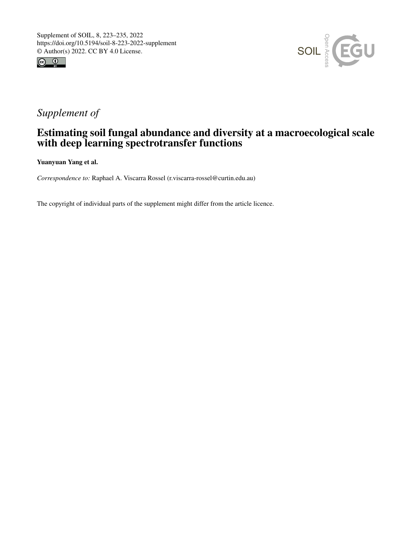



# *Supplement of*

## Estimating soil fungal abundance and diversity at a macroecological scale with deep learning spectrotransfer functions

Yuanyuan Yang et al.

*Correspondence to:* Raphael A. Viscarra Rossel (r.viscarra-rossel@curtin.edu.au)

The copyright of individual parts of the supplement might differ from the article licence.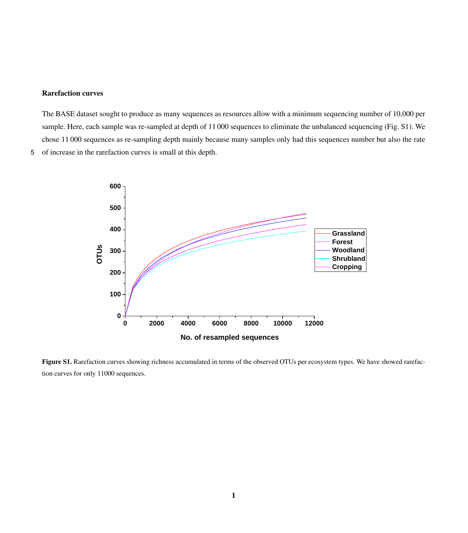#### Rarefaction curves

The BASE dataset sought to produce as many sequences as resources allow with a minimum sequencing number of 10,000 per sample. Here, each sample was re-sampled at depth of 11 000 sequences to eliminate the unbalanced sequencing (Fig. S1). We chose 11 000 sequences as re-sampling depth mainly because many samples only had this sequences number but also the rate 5 of increase in the rarefaction curves is small at this depth.



Figure S1. Rarefaction curves showing richness accumulated in terms of the observed OTUs per ecosystem types. We have showed rarefaction curves for only 11000 sequences.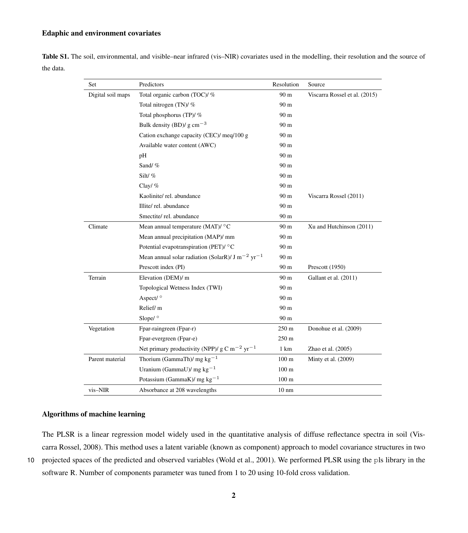### Edaphic and environment covariates

|           | <b>Table S1.</b> The soil, environmental, and visible–near infrared (vis–NIR) covariates used in the modelling, their resolution and the source of |  |  |  |  |  |
|-----------|----------------------------------------------------------------------------------------------------------------------------------------------------|--|--|--|--|--|
| the data. |                                                                                                                                                    |  |  |  |  |  |

| Set               | Predictors                                                               | Resolution       | Source                        |
|-------------------|--------------------------------------------------------------------------|------------------|-------------------------------|
| Digital soil maps | Total organic carbon (TOC)/ %                                            | 90 m             | Viscarra Rossel et al. (2015) |
|                   | Total nitrogen (TN)/ %                                                   | 90 <sub>m</sub>  |                               |
|                   | Total phosphorus (TP)/ %                                                 | 90 m             |                               |
|                   | Bulk density (BD)/ $g \text{ cm}^{-3}$                                   | 90 m             |                               |
|                   | Cation exchange capacity (CEC)/ meg/100 g                                | 90 m             |                               |
|                   | Available water content (AWC)                                            | 90 <sub>m</sub>  |                               |
|                   | pH                                                                       | 90 m             |                               |
|                   | Sand/%                                                                   | 90 <sub>m</sub>  |                               |
|                   | Silt/%                                                                   | 90 m             |                               |
|                   | Clay/ $%$                                                                | 90 <sub>m</sub>  |                               |
|                   | Kaolinite/rel. abundance                                                 | 90 m             | Viscarra Rossel (2011)        |
|                   | Illite/rel. abundance                                                    | 90 <sub>m</sub>  |                               |
|                   | Smectite/rel. abundance                                                  | 90 m             |                               |
| Climate           | Mean annual temperature (MAT)/ $\rm ^{\circ}C$                           | 90 m             | Xu and Hutchinson (2011)      |
|                   | Mean annual precipitation (MAP)/ mm                                      | 90 m             |                               |
|                   | Potential evapotranspiration (PET)/ °C                                   | 90 m             |                               |
|                   | Mean annual solar radiation (SolarR)/ J m <sup>-2</sup> yr <sup>-1</sup> | 90 m             |                               |
|                   | Prescott index (PI)                                                      | 90 <sub>m</sub>  | Prescott (1950)               |
| Terrain           | Elevation (DEM)/ m                                                       | 90 m             | Gallant et al. (2011)         |
|                   | Topological Wetness Index (TWI)                                          | 90 m             |                               |
|                   | Aspect/ $\circ$                                                          | 90 <sub>m</sub>  |                               |
|                   | Relief/m                                                                 | 90 m             |                               |
|                   | Slope/ <sup>o</sup>                                                      | 90 m             |                               |
| Vegetation        | Fpar-raingreen (Fpar-r)                                                  | 250 m            | Donohue et al. (2009)         |
|                   | Fpar-evergreen (Fpar-e)                                                  | 250 m            |                               |
|                   | Net primary productivity (NPP)/ $g \text{ C m}^{-2}$ yr <sup>-1</sup>    | 1 km             | Zhao et al. (2005)            |
| Parent material   | Thorium (GammaTh)/ mg $kg^{-1}$                                          | $100 \text{ m}$  | Minty et al. $(2009)$         |
|                   | Uranium (GammaU)/ mg $kg^{-1}$                                           | $100 \text{ m}$  |                               |
|                   | Potassium (GammaK)/ mg $kg^{-1}$                                         | 100 <sub>m</sub> |                               |
| vis-NIR           | Absorbance at 208 wavelengths                                            | $10 \text{ nm}$  |                               |

## Algorithms of machine learning

[T](#page-7-4)he PLSR is a linear regression model widely used in the quantitative analysis of diffuse reflectance spectra in soil [\(Vis](#page-7-4)[carra Rossel, 2008\)](#page-7-4). This method uses a latent variable (known as component) approach to model covariance structures in two 10 projected spaces of the predicted and observed variables [\(Wold et al., 2001\)](#page-7-5). We performed PLSR using the pls library in the software R. Number of components parameter was tuned from 1 to 20 using 10-fold cross validation.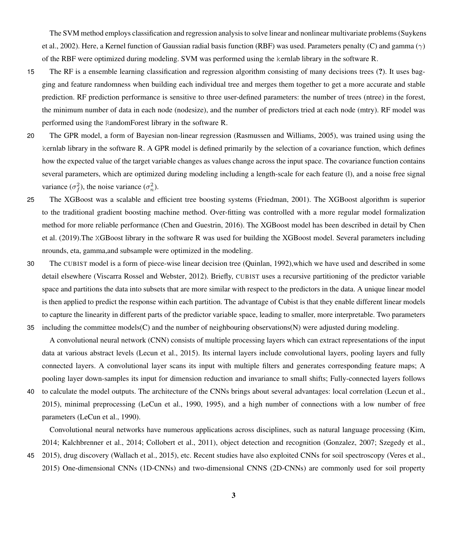The SVM method employs classification and regression analysis to solve linear and nonlinear multivariate problems [\(Suykens](#page-7-6) [et al., 2002\)](#page-7-6). Here, a Kernel function of Gaussian radial basis function (RBF) was used. Parameters penalty (C) and gamma ( $\gamma$ ) of the RBF were optimized during modeling. SVM was performed using the kernlab library in the software R.

- 15 The RF is a ensemble learning classification and regression algorithm consisting of many decisions trees (?). It uses bagging and feature randomness when building each individual tree and merges them together to get a more accurate and stable prediction. RF prediction performance is sensitive to three user-defined parameters: the number of trees (ntree) in the forest, the minimum number of data in each node (nodesize), and the number of predictors tried at each node (mtry). RF model was performed using the RandomForest library in the software R.
- 20 The GPR model, a form of Bayesian non-linear regression [\(Rasmussen and Williams, 2005\)](#page-7-7), was trained using using the kernlab library in the software R. A GPR model is defined primarily by the selection of a covariance function, which defines how the expected value of the target variable changes as values change across the input space. The covariance function contains several parameters, which are optimized during modeling including a length-scale for each feature (l), and a noise free signal variance  $(\sigma_f^2)$ , the noise variance  $(\sigma_n^2)$ .
- 25 The XGBoost was a scalable and efficient tree boosting systems [\(Friedman, 2001\)](#page-6-4). The XGBoost algorithm is superior to the traditional gradient boosting machine method. Over-fitting was controlled with a more regular model formalization [m](#page-6-6)ethod for more reliable performance [\(Chen and Guestrin, 2016\)](#page-6-5). The XGBoost model has been described in detail by [Chen](#page-6-6) [et al.](#page-6-6) [\(2019\)](#page-6-6).The XGBoost library in the software R was used for building the XGBoost model. Several parameters including nrounds, eta, gamma,and subsample were optimized in the modeling.
- 30 The CUBIST model is a form of piece-wise linear decision tree [\(Quinlan, 1992\)](#page-7-8),which we have used and described in some detail elsewhere [\(Viscarra Rossel and Webster, 2012\)](#page-7-9). Briefly, CUBIST uses a recursive partitioning of the predictor variable space and partitions the data into subsets that are more similar with respect to the predictors in the data. A unique linear model is then applied to predict the response within each partition. The advantage of Cubist is that they enable different linear models to capture the linearity in different parts of the predictor variable space, leading to smaller, more interpretable. Two parameters 35 including the committee models(C) and the number of neighbouring observations(N) were adjusted during modeling.

A convolutional neural network (CNN) consists of multiple processing layers which can extract representations of the input data at various abstract levels [\(Lecun et al., 2015\)](#page-6-7). Its internal layers include convolutional layers, pooling layers and fully connected layers. A convolutional layer scans its input with multiple filters and generates corresponding feature maps; A pooling layer down-samples its input for dimension reduction and invariance to small shifts; Fully-connected layers follows

40 to calculate the model outputs. The architecture of the CNNs brings about several advantages: local correlation [\(Lecun et al.,](#page-6-7) [2015\)](#page-6-7), minimal preprocessing [\(LeCun et al., 1990,](#page-6-8) [1995\)](#page-6-9), and a high number of connections with a low number of free parameters [\(LeCun et al., 1990\)](#page-6-8).

Convolutional neural networks have numerous applications across disciplines, such as natural language processing [\(Kim,](#page-6-10) [2014;](#page-6-10) [Kalchbrenner et al., 2014;](#page-6-11) [Collobert et al., 2011\)](#page-6-12), object detection and recognition [\(Gonzalez, 2007;](#page-6-13) [Szegedy et al.,](#page-7-10) 45 [2015\)](#page-7-10), drug discovery [\(Wallach et al., 2015\)](#page-7-11), etc. Recent studies have also exploited CNNs for soil spectroscopy [\(Veres et al.,](#page-7-12)

[2015\)](#page-7-12) One-dimensional CNNs (1D-CNNs) and two-dimensional CNNS (2D-CNNs) are commonly used for soil property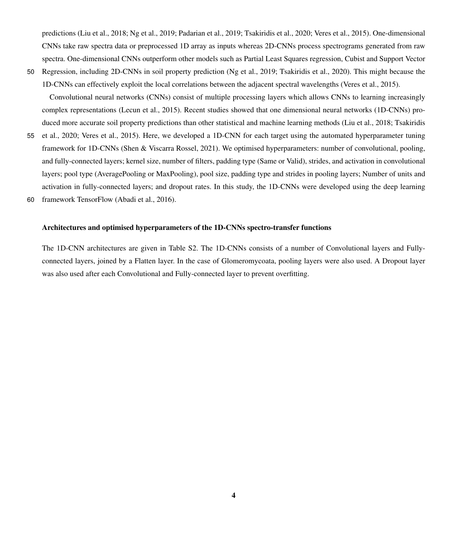predictions [\(Liu et al., 2018;](#page-6-14) [Ng et al., 2019;](#page-6-15) [Padarian et al., 2019;](#page-6-16) [Tsakiridis et al., 2020;](#page-7-13) [Veres et al., 2015\)](#page-7-12). One-dimensional CNNs take raw spectra data or preprocessed 1D array as inputs whereas 2D-CNNs process spectrograms generated from raw spectra. One-dimensional CNNs outperform other models such as Partial Least Squares regression, Cubist and Support Vector 50 Regression, including 2D-CNNs in soil property prediction [\(Ng et al., 2019;](#page-6-15) [Tsakiridis et al., 2020\)](#page-7-13). This might because the

1D-CNNs can effectively exploit the local correlations between the adjacent spectral wavelengths [\(Veres et al., 2015\)](#page-7-12).

Convolutional neural networks (CNNs) consist of multiple processing layers which allows CNNs to learning increasingly complex representations [\(Lecun et al., 2015\)](#page-6-7). Recent studies showed that one dimensional neural networks (1D-CNNs) pro[d](#page-7-13)uced more accurate soil property predictions than other statistical and machine learning methods [\(Liu et al., 2018;](#page-6-14) [Tsakiridis](#page-7-13) 55 [et al., 2020;](#page-7-13) [Veres et al., 2015\)](#page-7-12). Here, we developed a 1D-CNN for each target using the automated hyperparameter tuning framework for 1D-CNNs (Shen & Viscarra Rossel, 2021). We optimised hyperparameters: number of convolutional, pooling, and fully-connected layers; kernel size, number of filters, padding type (Same or Valid), strides, and activation in convolutional

layers; pool type (AveragePooling or MaxPooling), pool size, padding type and strides in pooling layers; Number of units and activation in fully-connected layers; and dropout rates. In this study, the 1D-CNNs were developed using the deep learning 60 framework TensorFlow [\(Abadi et al., 2016\)](#page-6-17).

#### Architectures and optimised hyperparameters of the 1D-CNNs spectro-transfer functions

The 1D-CNN architectures are given in Table S2. The 1D-CNNs consists of a number of Convolutional layers and Fullyconnected layers, joined by a Flatten layer. In the case of Glomeromycoata, pooling layers were also used. A Dropout layer was also used after each Convolutional and Fully-connected layer to prevent overfitting.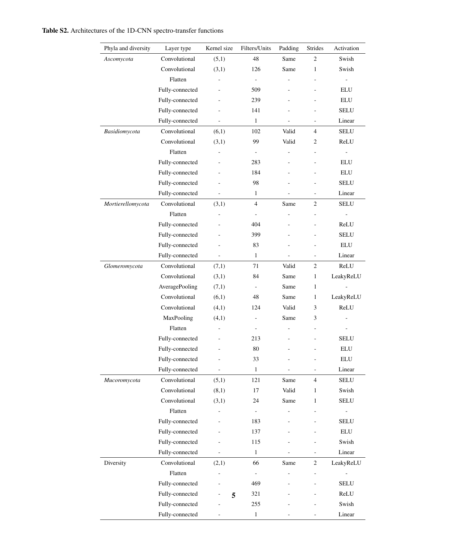| Table S2. Architectures of the 1D-CNN spectro-transfer functions |  |
|------------------------------------------------------------------|--|
|------------------------------------------------------------------|--|

| Phyla and diversity | Layer type      | Kernel size              | Filters/Units            | Padding                  | Strides                      | Activation               |
|---------------------|-----------------|--------------------------|--------------------------|--------------------------|------------------------------|--------------------------|
| Ascomycota          | Convolutional   | (5,1)                    | 48                       | Same                     | 2                            | Swish                    |
|                     | Convolutional   | (3,1)                    | 126                      | Same                     | 1                            | Swish                    |
|                     | Flatten         |                          | $\overline{\phantom{a}}$ |                          | ÷,                           | $\overline{a}$           |
|                     | Fully-connected | $\overline{a}$           | 509                      | $\overline{a}$           | $\overline{a}$               | ELU                      |
|                     | Fully-connected | $\overline{a}$           | 239                      | $\overline{a}$           | $\overline{a}$               | ELU                      |
|                     | Fully-connected | ٠                        | 141                      | ÷,                       | $\overline{a}$               | SELU                     |
|                     | Fully-connected | $\overline{a}$           | $\mathbf{1}$             | $\overline{a}$           | ÷,                           | Linear                   |
| Basidiomycota       | Convolutional   | (6,1)                    | 102                      | Valid                    | 4                            | SELU                     |
|                     | Convolutional   | (3,1)                    | 99                       | Valid                    | 2                            | ReLU                     |
|                     | Flatten         |                          | $\blacksquare$           | $\overline{a}$           | $\overline{\phantom{a}}$     | $\Box$                   |
|                     | Fully-connected |                          | 283                      |                          | ÷,                           | ELU                      |
|                     | Fully-connected | ÷,                       | 184                      | $\overline{a}$           | $\overline{a}$               | ELU                      |
|                     | Fully-connected | $\overline{a}$           | 98                       | $\overline{a}$           | $\frac{1}{2}$                | SELU                     |
|                     | Fully-connected | $\blacksquare$           | $\mathbf{1}$             |                          | $\overline{\phantom{a}}$     | Linear                   |
| Mortierellomycota   | Convolutional   | (3,1)                    | $\overline{4}$           | Same                     | 2                            | SELU                     |
|                     | Flatten         | $\overline{\phantom{0}}$ | $\overline{\phantom{a}}$ | $\overline{\phantom{0}}$ | $\overline{a}$               | $\overline{\phantom{0}}$ |
|                     | Fully-connected |                          | 404                      |                          | $\overline{a}$               | ReLU                     |
|                     | Fully-connected | $\overline{\phantom{0}}$ | 399                      | $\overline{\phantom{0}}$ |                              | SELU                     |
|                     | Fully-connected |                          | 83                       | $\overline{\phantom{0}}$ | $\overline{a}$               | ELU                      |
|                     | Fully-connected | $\overline{\phantom{0}}$ | $\mathbf{1}$             | -                        | $\qquad \qquad \blacksquare$ | Linear                   |
| Glomeromycota       | Convolutional   | (7,1)                    | 71                       | Valid                    | 2                            | ReLU                     |
|                     | Convolutional   | (3,1)                    | 84                       | Same                     | $\mathbf{1}$                 | LeakyReLU                |
|                     | AveragePooling  | (7,1)                    |                          | Same                     | $\mathbf{1}$                 |                          |
|                     | Convolutional   | (6,1)                    | 48                       | Same                     | 1                            | LeakyReLU                |
|                     | Convolutional   | (4,1)                    | 124                      | Valid                    | 3                            | ReLU                     |
|                     | MaxPooling      | (4,1)                    | $\frac{1}{2}$            | Same                     | 3                            |                          |
|                     | Flatten         | $\overline{\phantom{0}}$ | $\overline{\phantom{a}}$ | $\overline{\phantom{0}}$ | $\overline{a}$               | $\overline{\phantom{0}}$ |
|                     | Fully-connected | $\overline{a}$           | 213                      | $\overline{\phantom{0}}$ | $\overline{a}$               | SELU                     |
|                     | Fully-connected | $\overline{a}$           | 80                       | ÷,                       | $\overline{a}$               | ELU                      |
|                     | Fully-connected |                          | 33                       |                          | L,                           | ELU                      |
|                     | Fully-connected |                          | $\mathbf{1}$             |                          | $\overline{a}$               | Linear                   |
| Mucoromycota        | Convolutional   | (5,1)                    | 121                      | Same                     | 4                            | <b>SELU</b>              |
|                     | Convolutional   | (8,1)                    | 17                       | Valid                    | $\mathbf{1}$                 | Swish                    |
|                     | Convolutional   | (3,1)                    | 24                       | Same                     | $\mathbf{1}$                 | <b>SELU</b>              |
|                     | Flatten         | $\overline{\phantom{0}}$ | $\overline{\phantom{a}}$ | $\overline{a}$           | $\overline{a}$               | ÷                        |
|                     | Fully-connected | L,                       | 183                      |                          | ٠                            | SELU                     |
|                     | Fully-connected | ÷                        | 137                      | $\overline{a}$           | ٠                            | ELU                      |
|                     | Fully-connected |                          | 115                      |                          | $\overline{a}$               | Swish                    |
|                     | Fully-connected | ÷.                       | $\mathbf{1}$             |                          | $\overline{\phantom{a}}$     | Linear                   |
| Diversity           | Convolutional   | (2,1)                    | 66                       | Same                     | 2                            | LeakyReLU                |
|                     | Flatten         |                          | $\overline{\phantom{a}}$ | -                        | $\overline{\phantom{a}}$     | $\overline{\phantom{a}}$ |
|                     | Fully-connected |                          | 469                      |                          | $\overline{\phantom{0}}$     | SELU                     |
|                     | Fully-connected | 5                        | 321                      |                          | $\overline{a}$               | ReLU                     |
|                     | Fully-connected |                          | 255                      |                          |                              | Swish                    |
|                     | Fully-connected | $\overline{\phantom{0}}$ | $\mathbf{1}$             |                          |                              | Linear                   |
|                     |                 |                          |                          |                          |                              |                          |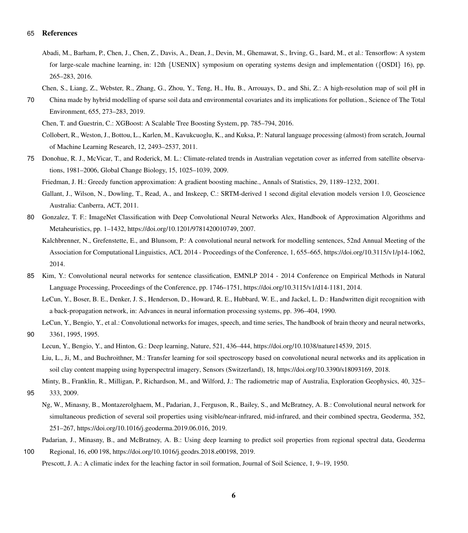#### <span id="page-6-17"></span>65 References

- Abadi, M., Barham, P., Chen, J., Chen, Z., Davis, A., Dean, J., Devin, M., Ghemawat, S., Irving, G., Isard, M., et al.: Tensorflow: A system for large-scale machine learning, in: 12th {USENIX} symposium on operating systems design and implementation ({OSDI} 16), pp. 265–283, 2016.
- Chen, S., Liang, Z., Webster, R., Zhang, G., Zhou, Y., Teng, H., Hu, B., Arrouays, D., and Shi, Z.: A high-resolution map of soil pH in
- <span id="page-6-6"></span><span id="page-6-5"></span>70 China made by hybrid modelling of sparse soil data and environmental covariates and its implications for pollution., Science of The Total Environment, 655, 273–283, 2019.

<span id="page-6-12"></span>Chen, T. and Guestrin, C.: XGBoost: A Scalable Tree Boosting System, pp. 785–794, 2016.

Collobert, R., Weston, J., Bottou, L., Karlen, M., Kavukcuoglu, K., and Kuksa, P.: Natural language processing (almost) from scratch, Journal of Machine Learning Research, 12, 2493–2537, 2011.

<span id="page-6-4"></span><span id="page-6-2"></span>75 Donohue, R. J., McVicar, T., and Roderick, M. L.: Climate-related trends in Australian vegetation cover as inferred from satellite observations, 1981–2006, Global Change Biology, 15, 1025–1039, 2009.

Friedman, J. H.: Greedy function approximation: A gradient boosting machine., Annals of Statistics, 29, 1189–1232, 2001.

- <span id="page-6-1"></span>Gallant, J., Wilson, N., Dowling, T., Read, A., and Inskeep, C.: SRTM-derived 1 second digital elevation models version 1.0, Geoscience Australia: Canberra, ACT, 2011.
- <span id="page-6-13"></span><span id="page-6-11"></span>80 Gonzalez, T. F.: ImageNet Classification with Deep Convolutional Neural Networks Alex, Handbook of Approximation Algorithms and Metaheuristics, pp. 1–1432, https://doi.org[/10.1201/9781420010749,](https://doi.org/10.1201/9781420010749) 2007.
	- Kalchbrenner, N., Grefenstette, E., and Blunsom, P.: A convolutional neural network for modelling sentences, 52nd Annual Meeting of the Association for Computational Linguistics, ACL 2014 - Proceedings of the Conference, 1, 655–665, https://doi.org[/10.3115/v1/p14-1062,](https://doi.org/10.3115/v1/p14-1062) 2014.
- <span id="page-6-10"></span><span id="page-6-8"></span>85 Kim, Y.: Convolutional neural networks for sentence classification, EMNLP 2014 - 2014 Conference on Empirical Methods in Natural Language Processing, Proceedings of the Conference, pp. 1746–1751, https://doi.org[/10.3115/v1/d14-1181,](https://doi.org/10.3115/v1/d14-1181) 2014.
	- LeCun, Y., Boser, B. E., Denker, J. S., Henderson, D., Howard, R. E., Hubbard, W. E., and Jackel, L. D.: Handwritten digit recognition with a back-propagation network, in: Advances in neural information processing systems, pp. 396–404, 1990.

<span id="page-6-9"></span>LeCun, Y., Bengio, Y., et al.: Convolutional networks for images, speech, and time series, The handbook of brain theory and neural networks, 90 3361, 1995, 1995.

- <span id="page-6-14"></span><span id="page-6-7"></span>Lecun, Y., Bengio, Y., and Hinton, G.: Deep learning, Nature, 521, 436–444, https://doi.org[/10.1038/nature14539,](https://doi.org/10.1038/nature14539) 2015.
- Liu, L., Ji, M., and Buchroithner, M.: Transfer learning for soil spectroscopy based on convolutional neural networks and its application in soil clay content mapping using hyperspectral imagery, Sensors (Switzerland), 18, https://doi.org[/10.3390/s18093169,](https://doi.org/10.3390/s18093169) 2018.

<span id="page-6-3"></span>Minty, B., Franklin, R., Milligan, P., Richardson, M., and Wilford, J.: The radiometric map of Australia, Exploration Geophysics, 40, 325–

- <span id="page-6-15"></span>95 333, 2009.
	- Ng, W., Minasny, B., Montazerolghaem, M., Padarian, J., Ferguson, R., Bailey, S., and McBratney, A. B.: Convolutional neural network for simultaneous prediction of several soil properties using visible/near-infrared, mid-infrared, and their combined spectra, Geoderma, 352, 251–267, https://doi.org[/10.1016/j.geoderma.2019.06.016,](https://doi.org/10.1016/j.geoderma.2019.06.016) 2019.
- <span id="page-6-16"></span><span id="page-6-0"></span>Padarian, J., Minasny, B., and McBratney, A. B.: Using deep learning to predict soil properties from regional spectral data, Geoderma 100 Regional, 16, e00 198, https://doi.org[/10.1016/j.geodrs.2018.e00198,](https://doi.org/10.1016/j.geodrs.2018.e00198) 2019.

Prescott, J. A.: A climatic index for the leaching factor in soil formation, Journal of Soil Science, 1, 9–19, 1950.